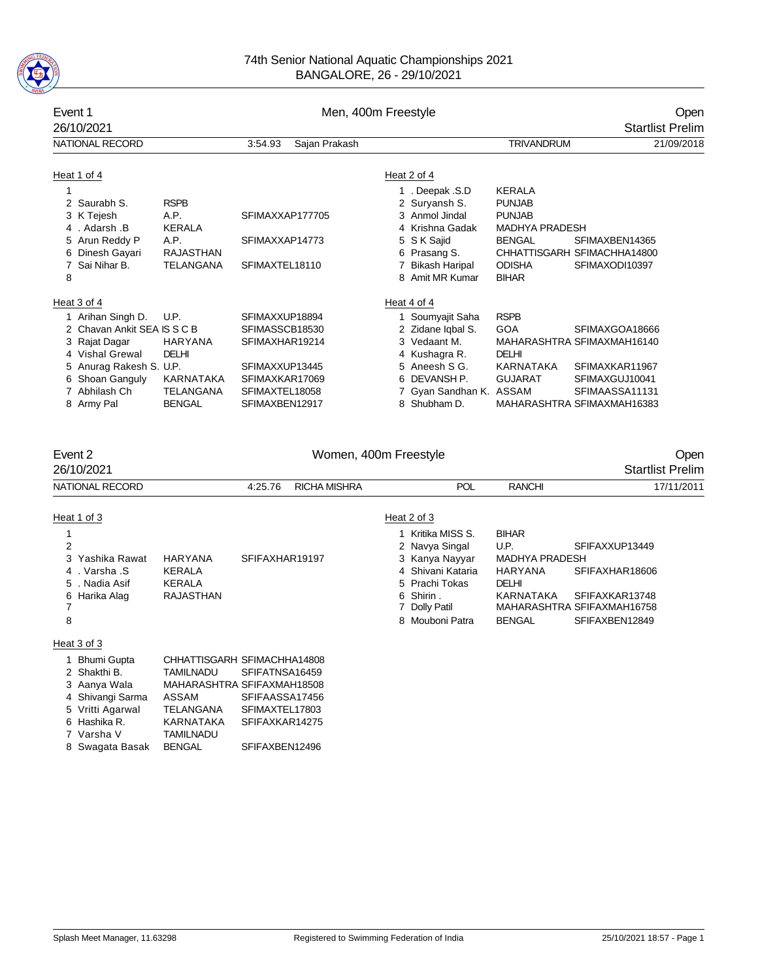

| Event 1<br>26/10/2021                                                                                                                                                                                                                       | Men, 400m Freestyle                                                                                                            |                                                                                                                             |                       |   |                                                                                                                                                                                                                                                                     | Open<br><b>Startlist Prelim</b>                                                                                                                                               |                                                                                                                 |                                 |
|---------------------------------------------------------------------------------------------------------------------------------------------------------------------------------------------------------------------------------------------|--------------------------------------------------------------------------------------------------------------------------------|-----------------------------------------------------------------------------------------------------------------------------|-----------------------|---|---------------------------------------------------------------------------------------------------------------------------------------------------------------------------------------------------------------------------------------------------------------------|-------------------------------------------------------------------------------------------------------------------------------------------------------------------------------|-----------------------------------------------------------------------------------------------------------------|---------------------------------|
| <b>NATIONAL RECORD</b>                                                                                                                                                                                                                      |                                                                                                                                | 3:54.93                                                                                                                     | Sajan Prakash         |   |                                                                                                                                                                                                                                                                     | <b>TRIVANDRUM</b>                                                                                                                                                             |                                                                                                                 | 21/09/2018                      |
| Heat 1 of 4<br>$\mathbf{1}$<br>2 Saurabh S.<br>3 K Tejesh<br>4. Adarsh B<br>5 Arun Reddy P<br>6 Dinesh Gayari<br>7 Sai Nihar B.<br>8<br>Heat 3 of 4<br>1 Arihan Singh D.<br>2 Chavan Ankit SEA IS S C B<br>3 Rajat Dagar<br>4 Vishal Grewal | <b>RSPB</b><br>A.P.<br><b>KERALA</b><br>A.P.<br><b>RAJASTHAN</b><br><b>TELANGANA</b><br>U.P.<br><b>HARYANA</b><br><b>DELHI</b> | SFIMAXXAP177705<br>SFIMAXXAP14773<br>SFIMAXTEL18110<br>SFIMAXXUP18894<br>SFIMASSCB18530<br>SFIMAXHAR19214<br>SFIMAXXUP13445 |                       |   | Heat 2 of 4<br>1. Deepak .S.D<br>2 Suryansh S.<br>3 Anmol Jindal<br>4 Krishna Gadak<br>5 S K Sajid<br>6 Prasang S.<br>7 Bikash Haripal<br>8 Amit MR Kumar<br>Heat 4 of 4<br>1 Soumyajit Saha<br>2 Zidane Iqbal S.<br>3 Vedaant M.<br>4 Kushagra R.<br>5 Aneesh S G. | <b>KERALA</b><br><b>PUNJAB</b><br><b>PUNJAB</b><br><b>MADHYA PRADESH</b><br><b>BENGAL</b><br><b>ODISHA</b><br><b>BIHAR</b><br><b>RSPB</b><br><b>GOA</b><br>DELHI<br>KARNATAKA | SFIMAXBEN14365<br>CHHATTISGARH SFIMACHHA14800<br>SFIMAXODI10397<br>SFIMAXGOA18666<br>MAHARASHTRA SFIMAXMAH16140 |                                 |
| 5 Anurag Rakesh S. U.P.<br>6 Shoan Ganguly<br>7 Abhilash Ch<br>8 Army Pal                                                                                                                                                                   | KARNATAKA<br><b>TELANGANA</b><br><b>BENGAL</b>                                                                                 | SFIMAXKAR17069<br>SFIMAXTEL18058<br>SFIMAXBEN12917                                                                          |                       |   | 6 DEVANSH P.<br>7 Gyan Sandhan K. ASSAM<br>8 Shubham D.                                                                                                                                                                                                             | GUJARAT                                                                                                                                                                       | SFIMAXKAR11967<br>SFIMAXGUJ10041<br>SFIMAASSA11131<br>MAHARASHTRA SFIMAXMAH16383                                |                                 |
| Event 2<br>26/10/2021                                                                                                                                                                                                                       |                                                                                                                                |                                                                                                                             | Women, 400m Freestyle |   |                                                                                                                                                                                                                                                                     |                                                                                                                                                                               |                                                                                                                 | Open<br><b>Startlist Prelim</b> |
| <b>NATIONAL RECORD</b>                                                                                                                                                                                                                      |                                                                                                                                | 4:25.76                                                                                                                     | <b>RICHA MISHRA</b>   |   | <b>POL</b>                                                                                                                                                                                                                                                          | <b>RANCHI</b>                                                                                                                                                                 |                                                                                                                 | 17/11/2011                      |
| Heat 1 of 3<br>$\mathbf{1}$<br>$\overline{2}$<br>3 Yashika Rawat<br>4. Varsha .S<br>. Nadia Asif<br>5<br>6 Harika Alag<br>7<br>8                                                                                                            | <b>HARYANA</b><br><b>KERALA</b><br><b>KERALA</b><br><b>RAJASTHAN</b>                                                           | SFIFAXHAR19197                                                                                                              |                       | 7 | Heat 2 of 3<br>1 Kritika MISS S.<br>2 Navya Singal<br>3 Kanya Nayyar<br>4 Shivani Kataria<br>5 Prachi Tokas<br>6 Shirin.<br><b>Dolly Patil</b><br>8 Mouboni Patra                                                                                                   | <b>BIHAR</b><br>U.P.<br><b>MADHYA PRADESH</b><br><b>HARYANA</b><br><b>DELHI</b><br><b>KARNATAKA</b><br><b>BENGAL</b>                                                          | SFIFAXXUP13449<br>SFIFAXHAR18606<br>SFIFAXKAR13748<br>MAHARASHTRA SFIFAXMAH16758<br>SFIFAXBEN12849              |                                 |

### Heat 3 of 3

| 1 Bhumi Gupta    |                  | CHHATTISGARH SFIMACHHA14808 |
|------------------|------------------|-----------------------------|
| 2 Shakthi B.     |                  | TAMILNADU SFIFATNSA16459    |
| 3 Aanya Wala     |                  | MAHARASHTRA SFIFAXMAH18508  |
| 4 Shivangi Sarma | ASSAM            | SFIFAASSA17456              |
| 5 Vritti Agarwal | <b>TELANGANA</b> | SFIMAXTEL17803              |
| 6 Hashika R.     | <b>KARNATAKA</b> | SFIFAXKAR14275              |
| 7 Varsha V       | <b>TAMILNADU</b> |                             |
| 8 Swagata Basak  | <b>BENGAL</b>    | SFIFAXBEN12496              |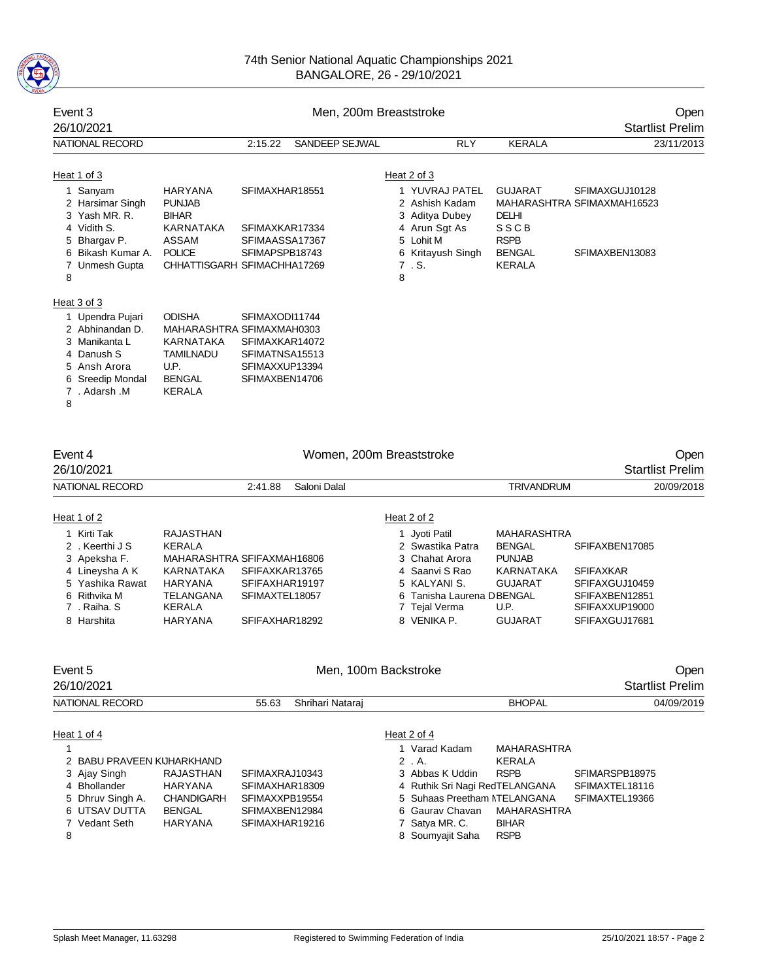

| Event 3<br>26/10/2021                                                                                                                                                                |                                                                                                                                                      |                                                                                        |                       | Men, 200m Breaststroke<br><b>Startlist Prelim</b>                                                                                  |                                                                                                |                                                                |  |
|--------------------------------------------------------------------------------------------------------------------------------------------------------------------------------------|------------------------------------------------------------------------------------------------------------------------------------------------------|----------------------------------------------------------------------------------------|-----------------------|------------------------------------------------------------------------------------------------------------------------------------|------------------------------------------------------------------------------------------------|----------------------------------------------------------------|--|
| NATIONAL RECORD                                                                                                                                                                      |                                                                                                                                                      | 2:15.22                                                                                | <b>SANDEEP SEJWAL</b> | <b>RLY</b>                                                                                                                         | <b>KERALA</b>                                                                                  | 23/11/2013                                                     |  |
| Heat 1 of 3<br>Sanyam<br>1.<br>2 Harsimar Singh<br>3 Yash MR, R.<br>4 Vidith S.<br>5 Bhargav P.<br>Bikash Kumar A.<br><b>Unmesh Gupta</b><br>8<br>Heat 3 of 3<br>Upendra Pujari<br>1 | <b>HARYANA</b><br><b>PUNJAB</b><br><b>BIHAR</b><br><b>KARNATAKA</b><br><b>ASSAM</b><br><b>POLICE</b><br>CHHATTISGARH SFIMACHHA17269<br><b>ODISHA</b> | SFIMAXHAR18551<br>SFIMAXKAR17334<br>SFIMAASSA17367<br>SFIMAPSPB18743<br>SFIMAXODI11744 |                       | Heat 2 of 3<br>1 YUVRAJ PATEL<br>2 Ashish Kadam<br>3 Aditya Dubey<br>4 Arun Sgt As<br>5 Lohit M<br>6 Kritayush Singh<br>7. S.<br>8 | <b>GUJARAT</b><br><b>DELHI</b><br><b>SSCB</b><br><b>RSPB</b><br><b>BENGAL</b><br><b>KERALA</b> | SFIMAXGUJ10128<br>MAHARASHTRA SFIMAXMAH16523<br>SFIMAXBEN13083 |  |
| 2 Abhinandan D.<br>3 Manikanta L<br>4 Danush S<br>5 Ansh Arora<br>Sreedip Mondal<br>7. Adarsh .M<br>8                                                                                | MAHARASHTRA SFIMAXMAH0303<br><b>KARNATAKA</b><br><b>TAMILNADU</b><br>U.P.<br><b>BENGAL</b><br><b>KERALA</b>                                          | SFIMAXKAR14072<br>SFIMATNSA15513<br>SFIMAXXUP13394<br>SFIMAXBEN14706                   |                       |                                                                                                                                    |                                                                                                |                                                                |  |
| Event 4<br>26/10/2021                                                                                                                                                                |                                                                                                                                                      |                                                                                        |                       | Women, 200m Breaststroke                                                                                                           |                                                                                                | Open<br><b>Startlist Prelim</b>                                |  |
| <b>NATIONAL RECORD</b>                                                                                                                                                               |                                                                                                                                                      | 2:41.88                                                                                | Saloni Dalal          |                                                                                                                                    | <b>TRIVANDRUM</b>                                                                              | 20/09/2018                                                     |  |
| Heat 1 of 2                                                                                                                                                                          |                                                                                                                                                      |                                                                                        |                       | Heat 2 of 2                                                                                                                        |                                                                                                |                                                                |  |
| Kirti Tak<br>1<br>2 . Keerthi J S                                                                                                                                                    | <b>RAJASTHAN</b><br><b>KERALA</b>                                                                                                                    |                                                                                        |                       | 1 Jyoti Patil<br>2 Swastika Patra                                                                                                  | <b>MAHARASHTRA</b><br><b>BENGAL</b>                                                            | SFIFAXBEN17085                                                 |  |

| 2 Keerthi J S   | KFRAI A   |                            | 2 Swastika Patra          | <b>BENGAL</b> | SFIFAXBEN17085   |
|-----------------|-----------|----------------------------|---------------------------|---------------|------------------|
| 3 Apeksha F.    |           | MAHARASHTRA SFIFAXMAH16806 | 3 Chahat Arora            | <b>PUNJAB</b> |                  |
| 4 Lineysha A K  | KARNATAKA | SFIFAXKAR13765             | 4 Saanvi S Rao            | KARNATAKA     | <b>SFIFAXKAR</b> |
| 5 Yashika Rawat | HARYANA   | SFIFAXHAR19197             | 5 KALYANI S.              | GUJARAT       | SFIFAXGUJ10459   |
| 6 Rithvika M    | TELANGANA | SFIMAXTEL18057             | 6 Tanisha Laurena DBENGAL |               | SFIFAXBEN12851   |
| 7.Raiha. S      | KERALA    |                            | 7 Tejal Verma             | U.P.          | SFIFAXXUP19000   |
| 8 Harshita      | HARYANA   | SFIFAXHAR18292             | 8 VENIKA P.               | GUJARAT       | SFIFAXGUJ17681   |

| Event 5<br>26/10/2021     |                   | Men, 100m Backstroke      | Open<br><b>Startlist Prelim</b> |               |                |
|---------------------------|-------------------|---------------------------|---------------------------------|---------------|----------------|
| NATIONAL RECORD           |                   | Shrihari Nataraj<br>55.63 |                                 | <b>BHOPAL</b> | 04/09/2019     |
| Heat 1 of 4               |                   |                           | Heat 2 of 4                     |               |                |
|                           |                   |                           | 1 Varad Kadam                   | MAHARASHTRA   |                |
| 2 BABU PRAVEEN KUHARKHAND |                   |                           | $2$ $A$ .                       | <b>KERALA</b> |                |
| 3 Ajay Singh              | <b>RAJASTHAN</b>  | SFIMAXRAJ10343            | 3 Abbas K Uddin                 | <b>RSPB</b>   | SFIMARSPB18975 |
| 4 Bhollander              | HARYANA           | SFIMAXHAR18309            | 4 Ruthik Sri Nagi RedTELANGANA  |               | SFIMAXTEL18116 |
| 5 Dhruv Singh A.          | <b>CHANDIGARH</b> | SFIMAXXPB19554            | 5 Suhaas Preetham NTELANGANA    |               | SFIMAXTEL19366 |
| 6 UTSAV DUTTA             | <b>BENGAL</b>     | SFIMAXBEN12984            | 6 Gauray Chavan                 | MAHARASHTRA   |                |
| 7 Vedant Seth             | HARYANA           | SFIMAXHAR19216            | 7 Satya MR. C.                  | <b>BIHAR</b>  |                |
| 8                         |                   |                           | 8 Soumyajit Saha                | <b>RSPB</b>   |                |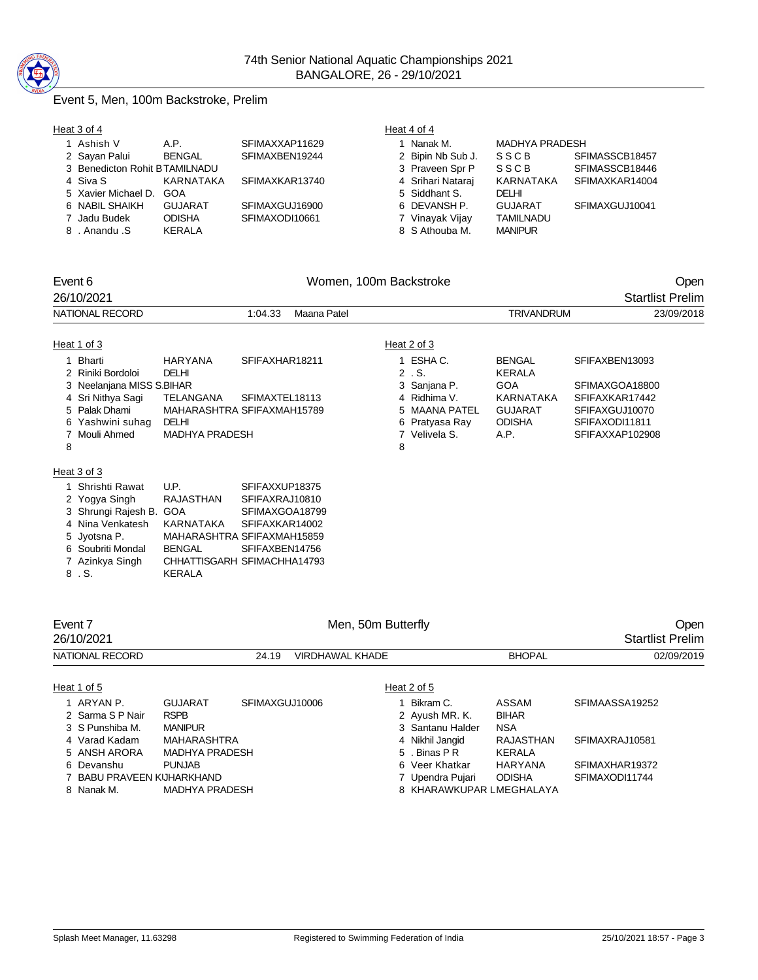

# Event 5, Men, 100m Backstroke, Prelim

| Heat 3 of 4                   |               |                | Heat 4 of 4       |                  |                |
|-------------------------------|---------------|----------------|-------------------|------------------|----------------|
| 1 Ashish V                    | A.P.          | SFIMAXXAP11629 | Nanak M.          | MADHYA PRADESH   |                |
| 2 Sayan Palui                 | <b>BENGAL</b> | SFIMAXBEN19244 | 2 Bipin Nb Sub J. | SSCB             | SFIMASSCB18457 |
| 3 Benedicton Rohit BTAMILNADU |               |                | 3 Praveen Spr P   | SSCB             | SFIMASSCB18446 |
| 4 Siva S                      | KARNATAKA     | SFIMAXKAR13740 | 4 Srihari Nataraj | KARNATAKA        | SFIMAXKAR14004 |
| 5 Xavier Michael D. GOA       |               |                | 5 Siddhant S.     | <b>DELHI</b>     |                |
| 6 NABIL SHAIKH                | GUJARAT       | SFIMAXGUJ16900 | 6 DEVANSH P.      | <b>GUJARAT</b>   | SFIMAXGUJ10041 |
| 7 Jadu Budek                  | <b>ODISHA</b> | SFIMAXODI10661 | 7 Vinayak Vijay   | <b>TAMILNADU</b> |                |
| 8. Anandu .S                  | KERALA        |                | 8 S Athouba M.    | <b>MANIPUR</b>   |                |

| Event 6<br>26/10/2021                                                                                                                                           | Women, 100m Backstroke                                                                                                        |                                                                                        |                        |                                                                                                                        |                                                                                                             | Open<br><b>Startlist Prelim</b>                                                                           |  |
|-----------------------------------------------------------------------------------------------------------------------------------------------------------------|-------------------------------------------------------------------------------------------------------------------------------|----------------------------------------------------------------------------------------|------------------------|------------------------------------------------------------------------------------------------------------------------|-------------------------------------------------------------------------------------------------------------|-----------------------------------------------------------------------------------------------------------|--|
| NATIONAL RECORD                                                                                                                                                 |                                                                                                                               | 1:04.33                                                                                | Maana Patel            |                                                                                                                        | <b>TRIVANDRUM</b>                                                                                           | 23/09/2018                                                                                                |  |
| Heat 1 of 3                                                                                                                                                     |                                                                                                                               |                                                                                        |                        | Heat 2 of 3                                                                                                            |                                                                                                             |                                                                                                           |  |
| 1 Bharti<br>2 Riniki Bordoloi<br>3 Neelanjana MISS S.BIHAR<br>4 Sri Nithya Sagi<br>5 Palak Dhami<br>6 Yashwini suhag<br>7 Mouli Ahmed<br>8                      | HARYANA<br><b>DELHI</b><br><b>TELANGANA</b><br>MAHARASHTRA SFIFAXMAH15789<br><b>DELHI</b><br><b>MADHYA PRADESH</b>            | SFIFAXHAR18211<br>SFIMAXTEL18113                                                       |                        | 1 ESHA C.<br>$2$ $\sqrt{S}$ .<br>3 Sanjana P.<br>4 Ridhima V.<br>5 MAANA PATEL<br>6 Pratyasa Ray<br>7 Velivela S.<br>8 | <b>BENGAL</b><br><b>KERALA</b><br><b>GOA</b><br><b>KARNATAKA</b><br><b>GUJARAT</b><br><b>ODISHA</b><br>A.P. | SFIFAXBEN13093<br>SFIMAXGOA18800<br>SFIFAXKAR17442<br>SFIFAXGUJ10070<br>SFIFAXODI11811<br>SFIFAXXAP102908 |  |
| Heat 3 of 3<br>1 Shrishti Rawat<br>2 Yogya Singh<br>3 Shrungi Rajesh B. GOA<br>4 Nina Venkatesh<br>5 Jyotsna P.<br>6 Soubriti Mondal<br>7 Azinkya Singh<br>8.S. | U.P.<br><b>RAJASTHAN</b><br>KARNATAKA<br>MAHARASHTRA SFIFAXMAH15859<br><b>BENGAL</b><br>CHHATTISGARH SFIMACHHA14793<br>KERALA | SFIFAXXUP18375<br>SFIFAXRAJ10810<br>SFIMAXGOA18799<br>SFIFAXKAR14002<br>SFIFAXBEN14756 |                        |                                                                                                                        |                                                                                                             |                                                                                                           |  |
| Event 7<br>26/10/2021                                                                                                                                           |                                                                                                                               |                                                                                        |                        | Men, 50m Butterfly                                                                                                     |                                                                                                             | Open<br><b>Startlist Prelim</b>                                                                           |  |
| NATIONAL RECORD                                                                                                                                                 |                                                                                                                               | 24.19                                                                                  | <b>VIRDHAWAL KHADE</b> |                                                                                                                        | <b>BHOPAL</b>                                                                                               | 02/09/2019                                                                                                |  |
| Heat 1 of 5<br>1 ARYAN P.<br>2 Sarma S P Nair<br>3 S Punshiba M.<br>4 Varad Kadam<br>5 ANSH ARORA                                                               | <b>GUJARAT</b><br><b>RSPB</b><br><b>MANIPUR</b><br>MAHARASHTRA<br><b>MADHYA PRADESH</b>                                       | SFIMAXGUJ10006                                                                         |                        | Heat 2 of 5<br>1 Bikram C.<br>2 Ayush MR. K.<br>3 Santanu Halder<br>4 Nikhil Jangid<br>5 . Binas P R                   | <b>ASSAM</b><br><b>BIHAR</b><br><b>NSA</b><br><b>RAJASTHAN</b><br><b>KERALA</b>                             | SFIMAASSA19252<br>SFIMAXRAJ10581                                                                          |  |
| 6 Devanshu<br>7 BABU PRAVEEN KUHARKHAND                                                                                                                         | <b>PUNJAB</b>                                                                                                                 |                                                                                        |                        | 6 Veer Khatkar<br>7 Upendra Pujari                                                                                     | <b>HARYANA</b><br><b>ODISHA</b>                                                                             | SFIMAXHAR19372<br>SFIMAXODI11744                                                                          |  |

8 Nanak M. MADHYA PRADESH 8 KHARAWKUPAR LMEGHALAYA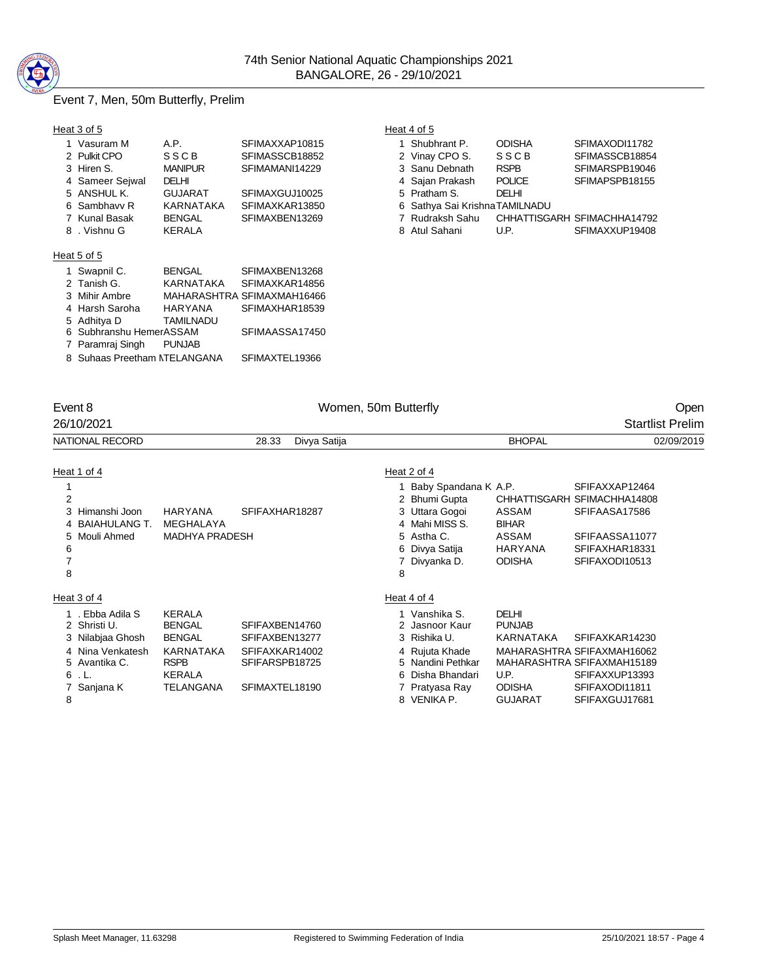

# Event 7, Men, 50m Butterfly, Prelim

| Heat 3 of 5                  |                |                            | Heat 4 of 5                   |               |                             |
|------------------------------|----------------|----------------------------|-------------------------------|---------------|-----------------------------|
| 1 Vasuram M                  | A.P.           | SFIMAXXAP10815             | Shubhrant P.                  | <b>ODISHA</b> | SFIMAXODI11782              |
| 2 Pulkit CPO                 | SSCB           | SFIMASSCB18852             | 2 Vinay CPO S.                | <b>SSCB</b>   | SFIMASSCB18854              |
| 3 Hiren S.                   | <b>MANIPUR</b> | SFIMAMANI14229             | 3 Sanu Debnath                | <b>RSPB</b>   | SFIMARSPB19046              |
| 4 Sameer Sejwal              | DELHI          |                            | 4 Sajan Prakash               | <b>POLICE</b> | SFIMAPSPB18155              |
| 5 ANSHUL K.                  | <b>GUJARAT</b> | SFIMAXGUJ10025             | 5 Pratham S.                  | <b>DELHI</b>  |                             |
| 6 Sambhavy R                 | KARNATAKA      | SFIMAXKAR13850             | 6 Sathya Sai KrishnaTAMILNADU |               |                             |
| 7 Kunal Basak                | <b>BENGAL</b>  | SFIMAXBEN13269             | 7 Rudraksh Sahu               |               | CHHATTISGARH SFIMACHHA14792 |
| 8. Vishnu G                  | <b>KERALA</b>  |                            | 8 Atul Sahani                 | U.P.          | SFIMAXXUP19408              |
| Heat 5 of 5                  |                |                            |                               |               |                             |
| 1 Swapnil C.                 | <b>BENGAL</b>  | SFIMAXBEN13268             |                               |               |                             |
| 2 Tanish G.                  | KARNATAKA      | SFIMAXKAR14856             |                               |               |                             |
| 3 Mihir Ambre                |                | MAHARASHTRA SFIMAXMAH16466 |                               |               |                             |
| 4 Harsh Saroha               | <b>HARYANA</b> | SFIMAXHAR18539             |                               |               |                             |
| 5 Adhitya D                  | TAMILNADU      |                            |                               |               |                             |
| 6 Subhranshu HemerASSAM      |                | SFIMAASSA17450             |                               |               |                             |
| 7 Paramraj Singh             | <b>PUNJAB</b>  |                            |                               |               |                             |
| 8 Suhaas Preetham NTELANGANA |                | SFIMAXTEL19366             |                               |               |                             |

| 1 Shubhrant P.                | <b>ODISHA</b> | SFIMAXODI11782              |
|-------------------------------|---------------|-----------------------------|
| 2 Vinay CPO S.                | SSCB          | SFIMASSCB18854              |
| 3 Sanu Debnath                | <b>RSPB</b>   | SFIMARSPB19046              |
| 4 Sajan Prakash               | <b>POLICE</b> | SFIMAPSPB18155              |
| 5 Pratham S.                  | DELHI         |                             |
| 6 Sathya Sai KrishnaTAMILNADU |               |                             |
| 7 Rudraksh Sahu               |               | CHHATTISGARH SFIMACHHA14792 |
| 8 Atul Sahani                 | U.P.          | SFIMAXXUP19408              |

| Event 8                                                                                                                  |                                                                                                                  |                                                                                        | Women, 50m Butterfly |   |                                                                                                                                             |                                                                                       | Open                                                                                                                             |
|--------------------------------------------------------------------------------------------------------------------------|------------------------------------------------------------------------------------------------------------------|----------------------------------------------------------------------------------------|----------------------|---|---------------------------------------------------------------------------------------------------------------------------------------------|---------------------------------------------------------------------------------------|----------------------------------------------------------------------------------------------------------------------------------|
| 26/10/2021                                                                                                               |                                                                                                                  |                                                                                        |                      |   |                                                                                                                                             |                                                                                       | <b>Startlist Prelim</b>                                                                                                          |
| NATIONAL RECORD                                                                                                          |                                                                                                                  | 28.33                                                                                  | Divya Satija         |   |                                                                                                                                             | <b>BHOPAL</b>                                                                         | 02/09/2019                                                                                                                       |
| Heat 1 of 4<br>2<br>Himanshi Joon<br>3<br><b>BAIAHULANG T.</b><br>Mouli Ahmed<br>5<br>6<br>7<br>8                        | <b>HARYANA</b><br>MEGHALAYA<br><b>MADHYA PRADESH</b>                                                             | SFIFAXHAR18287                                                                         |                      | 8 | Heat 2 of 4<br>1 Baby Spandana K A.P.<br>2 Bhumi Gupta<br>3 Uttara Gogoi<br>4 Mahi MISS S.<br>5 Astha C.<br>6 Divya Satija<br>7 Divyanka D. | ASSAM<br><b>BIHAR</b><br><b>ASSAM</b><br><b>HARYANA</b><br><b>ODISHA</b>              | SFIFAXXAP12464<br>CHHATTISGARH SFIMACHHA14808<br>SFIFAASA17586<br>SFIFAASSA11077<br>SFIFAXHAR18331<br>SFIFAXODI10513             |
| Heat 3 of 4                                                                                                              |                                                                                                                  |                                                                                        |                      |   | Heat 4 of 4                                                                                                                                 |                                                                                       |                                                                                                                                  |
| 1 . Ebba Adila S<br>2 Shristi U.<br>3 Nilabjaa Ghosh<br>4 Nina Venkatesh<br>5 Avantika C.<br>6<br>. L.<br>Sanjana K<br>8 | <b>KERALA</b><br><b>BENGAL</b><br><b>BENGAL</b><br><b>KARNATAKA</b><br><b>RSPB</b><br><b>KERALA</b><br>TELANGANA | SFIFAXBEN14760<br>SFIFAXBEN13277<br>SFIFAXKAR14002<br>SFIFARSPB18725<br>SFIMAXTEL18190 |                      |   | 1 Vanshika S.<br>2 Jasnoor Kaur<br>3 Rishika U.<br>4 Rujuta Khade<br>5 Nandini Pethkar<br>6 Disha Bhandari<br>7 Pratyasa Ray<br>8 VENIKA P. | <b>DELHI</b><br><b>PUNJAB</b><br>KARNATAKA<br>U.P.<br><b>ODISHA</b><br><b>GUJARAT</b> | SFIFAXKAR14230<br>MAHARASHTRA SFIFAXMAH16062<br>MAHARASHTRA SFIFAXMAH15189<br>SFIFAXXUP13393<br>SFIFAXODI11811<br>SFIFAXGUJ17681 |